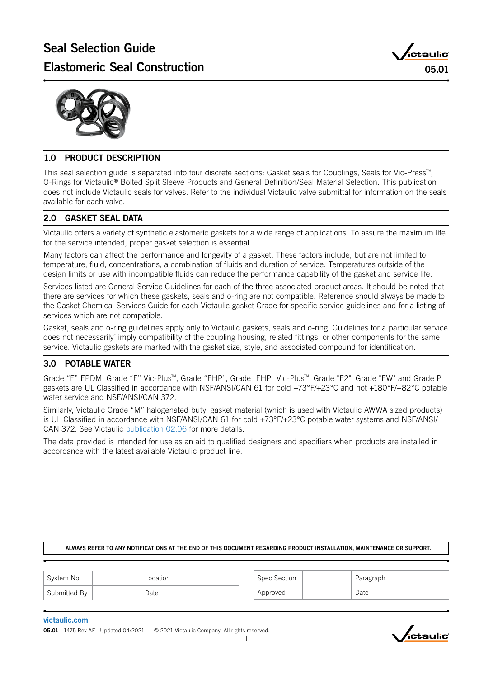



### 1.0 PRODUCT DESCRIPTION

This seal selection guide is separated into four discrete sections: Gasket seals for Couplings, Seals for Vic-Press™, O-Rings for Victaulic® Bolted Split Sleeve Products and General Definition/Seal Material Selection. This publication does not include Victaulic seals for valves. Refer to the individual Victaulic valve submittal for information on the seals available for each valve.

### 2.0 GASKET SEAL DATA

Victaulic offers a variety of synthetic elastomeric gaskets for a wide range of applications. To assure the maximum life for the service intended, proper gasket selection is essential.

Many factors can affect the performance and longevity of a gasket. These factors include, but are not limited to temperature, fluid, concentrations, a combination of fluids and duration of service. Temperatures outside of the design limits or use with incompatible fluids can reduce the performance capability of the gasket and service life.

Services listed are General Service Guidelines for each of the three associated product areas. It should be noted that there are services for which these gaskets, seals and o-ring are not compatible. Reference should always be made to the Gasket Chemical Services Guide for each Victaulic gasket Grade for specific service guidelines and for a listing of services which are not compatible.

Gasket, seals and o-ring guidelines apply only to Victaulic gaskets, seals and o-ring. Guidelines for a particular service does not necessarily´ imply compatibility of the coupling housing, related fittings, or other components for the same service. Victaulic gaskets are marked with the gasket size, style, and associated compound for identification.

### 3.0 POTABLE WATER

Grade "E" EPDM, Grade "E" Vic-Plus™, Grade "EHP", Grade "EHP" Vic-Plus™, Grade "E2", Grade "EW" and Grade P gaskets are UL Classified in accordance with NSF/ANSI/CAN 61 for cold +73°F/+23°C and hot +180°F/+82°C potable water service and NSF/ANSI/CAN 372.

Similarly, Victaulic Grade "M" halogenated butyl gasket material (which is used with Victaulic AWWA sized products) is UL Classified in accordance with NSF/ANSI/CAN 61 for cold +73°F/+23°C potable water systems and NSF/ANSI/ CAN 372. See Victaulic p[ublication 02.06](http://static.victaulic.com/assets/uploads/literature/02.06.pdf) for more details.

The data provided is intended for use as an aid to qualified designers and specifiers when products are installed in accordance with the latest available Victaulic product line.

### ALWAYS REFER TO ANY NOTIFICATIONS AT THE END OF THIS DOCUMENT REGARDING PRODUCT INSTALLATION, MAINTENANCE OR SUPPORT.

| <sup>1</sup> System No. | Location | Spec Section | Paragraph |  |
|-------------------------|----------|--------------|-----------|--|
| Submitted By            | Date     | Approved     | Date      |  |

### [victaulic.com](http://www.victaulic.com)

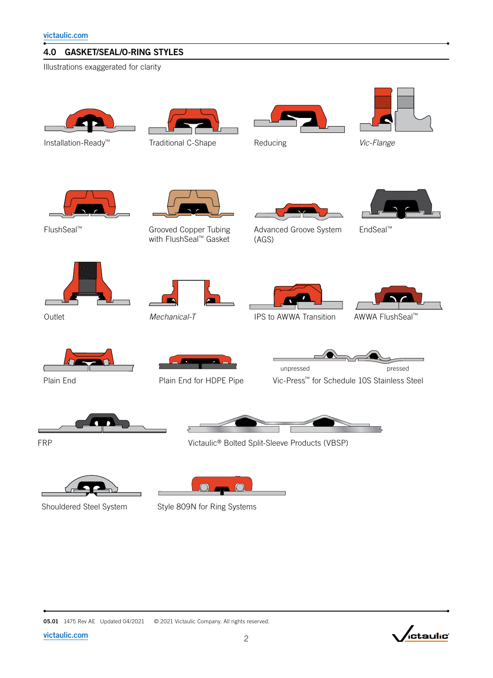### 4.0 GASKET/SEAL/O-RING STYLES

Illustrations exaggerated for clarity





Installation-Ready<sup>™</sup> Traditional C-Shape



Reducing



*Vic‑Flange*



Grooved Copper Tubing with FlushSeal™ Gasket



FlushSeal™ Grooved Copper Tubing Advanced Groove System (AGS)



EndSeal™













Plain End Plain End for HDPE Pipe



Vic-Press™ for Schedule 10S Stainless Steel



Victaulic® Bolted Split-Sleeve Products (VBSP)

 $\Omega$  $\bigcap$ 

Shouldered Steel System Style 809N for Ring Systems







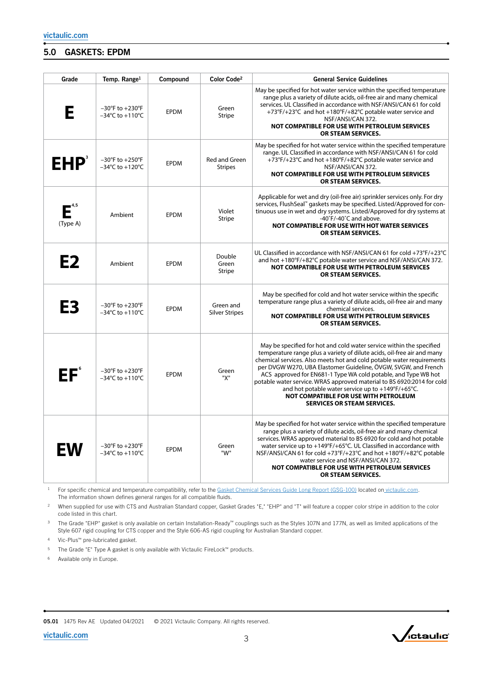### 5.0 GASKETS: EPDM

| Grade          | Temp. Range <sup>1</sup>                                                   | Compound    | Color Code <sup>2</sup>            | <b>General Service Guidelines</b>                                                                                                                                                                                                                                                                                                                                                                                                                                                                                                                                          |
|----------------|----------------------------------------------------------------------------|-------------|------------------------------------|----------------------------------------------------------------------------------------------------------------------------------------------------------------------------------------------------------------------------------------------------------------------------------------------------------------------------------------------------------------------------------------------------------------------------------------------------------------------------------------------------------------------------------------------------------------------------|
| E              | $-30^{\circ}$ F to $+230^{\circ}$ F<br>$-34^{\circ}$ C to $+110^{\circ}$ C | <b>EPDM</b> | Green<br><b>Stripe</b>             | May be specified for hot water service within the specified temperature<br>range plus a variety of dilute acids, oil-free air and many chemical<br>services. UL Classified in accordance with NSF/ANSI/CAN 61 for cold<br>+73°F/+23°C and hot +180°F/+82°C potable water service and<br>NSF/ANSI/CAN 372.<br>NOT COMPATIBLE FOR USE WITH PETROLEUM SERVICES<br>OR STEAM SERVICES.                                                                                                                                                                                          |
| <b>EHP</b>     | $-30^{\circ}$ F to $+250^{\circ}$ F<br>$-34^{\circ}$ C to $+120^{\circ}$ C | <b>EPDM</b> | Red and Green<br><b>Stripes</b>    | May be specified for hot water service within the specified temperature<br>range. UL Classified in accordance with NSF/ANSI/CAN 61 for cold<br>+73°F/+23°C and hot +180°F/+82°C potable water service and<br>NSF/ANSI/CAN 372.<br>NOT COMPATIBLE FOR USE WITH PETROLEUM SERVICES<br>OR STEAM SERVICES.                                                                                                                                                                                                                                                                     |
| (Type A)       | Ambient                                                                    | <b>EPDM</b> | Violet<br><b>Stripe</b>            | Applicable for wet and dry (oil-free air) sprinkler services only. For dry<br>services, FlushSeal <sup>"</sup> gaskets may be specified. Listed/Approved for con-<br>tinuous use in wet and dry systems. Listed/Approved for dry systems at<br>-40°F/-40°C and above.<br>NOT COMPATIBLE FOR USE WITH HOT WATER SERVICES<br>OR STEAM SERVICES.                                                                                                                                                                                                                              |
| E <sub>2</sub> | Ambient                                                                    | <b>EPDM</b> | Double<br>Green<br><b>Stripe</b>   | UL Classified in accordance with NSF/ANSI/CAN 61 for cold +73°F/+23°C<br>and hot +180°F/+82°C potable water service and NSF/ANSI/CAN 372.<br>NOT COMPATIBLE FOR USE WITH PETROLEUM SERVICES<br>OR STEAM SERVICES.                                                                                                                                                                                                                                                                                                                                                          |
| E3             | $-30^{\circ}$ F to $+230^{\circ}$ F<br>$-34^{\circ}$ C to $+110^{\circ}$ C | <b>EPDM</b> | Green and<br><b>Silver Stripes</b> | May be specified for cold and hot water service within the specific<br>temperature range plus a variety of dilute acids, oil-free air and many<br>chemical services.<br>NOT COMPATIBLE FOR USE WITH PETROLEUM SERVICES<br>OR STEAM SERVICES.                                                                                                                                                                                                                                                                                                                               |
| EF°            | $-30^{\circ}$ F to $+230^{\circ}$ F<br>$-34^{\circ}$ C to $+110^{\circ}$ C | <b>EPDM</b> | Green<br>"X"                       | May be specified for hot and cold water service within the specified<br>temperature range plus a variety of dilute acids, oil-free air and many<br>chemical services. Also meets hot and cold potable water requirements<br>per DVGW W270, UBA Elastomer Guideline, ÖVGW, SVGW, and French<br>ACS approved for EN681-1 Type WA cold potable, and Type WB hot<br>potable water service. WRAS approved material to BS 6920:2014 for cold<br>and hot potable water service up to +149°F/+65°C.<br>NOT COMPATIBLE FOR USE WITH PETROLEUM<br><b>SERVICES OR STEAM SERVICES.</b> |
| EW             | $-30^{\circ}$ F to $+230^{\circ}$ F<br>$-34^{\circ}$ C to $+110^{\circ}$ C | <b>EPDM</b> | Green<br>"W"                       | May be specified for hot water service within the specified temperature<br>range plus a variety of dilute acids, oil-free air and many chemical<br>services. WRAS approved material to BS 6920 for cold and hot potable<br>water service up to +149°F/+65°C. UL Classified in accordance with<br>NSF/ANSI/CAN 61 for cold +73°F/+23°C and hot +180°F/+82°C potable<br>water service and NSF/ANSI/CAN 372.<br>NOT COMPATIBLE FOR USE WITH PETROLEUM SERVICES<br>OR STEAM SERVICES.                                                                                          |

<sup>1</sup> For specific chemical and temperature compatibility, refer to the [Gasket Chemical Services Guide Long Report \(GSG-100\)](http://static.victaulic.com/assets/uploads/literature/GSG-100.pdf) located o[n victaulic.com](http://www.victaulic.com). The information shown defines general ranges for all compatible fluids.

<sup>2</sup> When supplied for use with CTS and Australian Standard copper, Gasket Grades "E," "EHP" and "T" will feature a copper color stripe in addition to the color code listed in this chart.

<sup>3</sup> The Grade "EHP" gasket is only available on certain Installation-Ready™ couplings such as the Styles 107N and 177N, as well as limited applications of the Style 607 rigid coupling for CTS copper and the Style 606-AS rigid coupling for Australian Standard copper.

<sup>4</sup> Vic-Plus™ pre-lubricated gasket.

<sup>5</sup> The Grade "E" Type A gasket is only available with Victaulic FireLock™ products.

<sup>6</sup> Available only in Europe.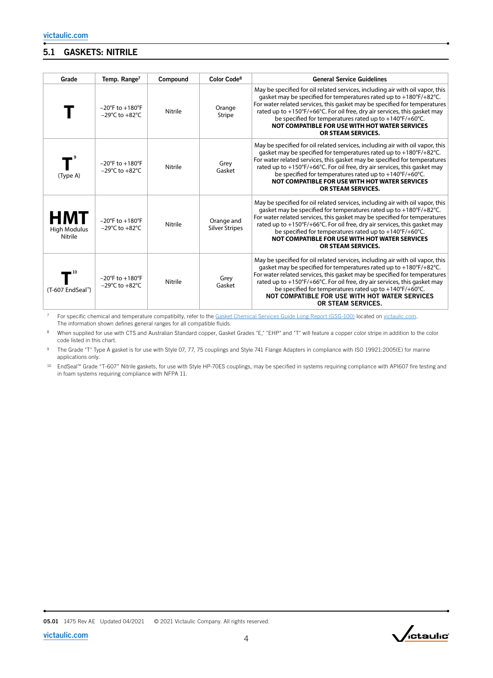### 5.1 GASKETS: NITRILE

| Grade                                        | Temp. Range <sup>7</sup>                                                  | Compound | Color Code <sup>8</sup>             | <b>General Service Guidelines</b>                                                                                                                                                                                                                                                                                                                                                                                                                                 |
|----------------------------------------------|---------------------------------------------------------------------------|----------|-------------------------------------|-------------------------------------------------------------------------------------------------------------------------------------------------------------------------------------------------------------------------------------------------------------------------------------------------------------------------------------------------------------------------------------------------------------------------------------------------------------------|
|                                              | $-20^{\circ}$ F to $+180^{\circ}$ F<br>$-29^{\circ}$ C to $+82^{\circ}$ C | Nitrile  | Orange<br><b>Stripe</b>             | May be specified for oil related services, including air with oil vapor, this<br>gasket may be specified for temperatures rated up to $+180^{\circ}F/+82^{\circ}C$ .<br>For water related services, this gasket may be specified for temperatures<br>rated up to +150°F/+66°C. For oil free, dry air services, this gasket may<br>be specified for temperatures rated up to +140°F/+60°C.<br>NOT COMPATIBLE FOR USE WITH HOT WATER SERVICES<br>OR STEAM SERVICES. |
| (Type A)                                     | $-20^{\circ}$ F to $+180^{\circ}$ F<br>$-29^{\circ}$ C to $+82^{\circ}$ C | Nitrile  | Grey<br>Gasket                      | May be specified for oil related services, including air with oil vapor, this<br>gasket may be specified for temperatures rated up to +180°F/+82°C.<br>For water related services, this gasket may be specified for temperatures<br>rated up to +150°F/+66°C. For oil free, dry air services, this gasket may<br>be specified for temperatures rated up to +140°F/+60°C.<br>NOT COMPATIBLE FOR USE WITH HOT WATER SERVICES<br>OR STEAM SERVICES.                  |
| <b>HMT</b><br><b>High Modulus</b><br>Nitrile | $-20^{\circ}$ F to $+180^{\circ}$ F<br>$-29^{\circ}$ C to $+82^{\circ}$ C | Nitrile  | Orange and<br><b>Silver Stripes</b> | May be specified for oil related services, including air with oil vapor, this<br>gasket may be specified for temperatures rated up to +180°F/+82°C.<br>For water related services, this gasket may be specified for temperatures<br>rated up to +150°F/+66°C. For oil free, dry air services, this gasket may<br>be specified for temperatures rated up to $+140^{\circ}F/+60^{\circ}C$ .<br>NOT COMPATIBLE FOR USE WITH HOT WATER SERVICES<br>OR STEAM SERVICES. |
| (T-607 EndSeal™)                             | $-20^{\circ}$ F to $+180^{\circ}$ F<br>$-29^{\circ}$ C to $+82^{\circ}$ C | Nitrile  | Grey<br>Gasket                      | May be specified for oil related services, including air with oil vapor, this<br>gasket may be specified for temperatures rated up to +180°F/+82°C.<br>For water related services, this gasket may be specified for temperatures<br>rated up to +150°F/+66°C. For oil free, dry air services, this gasket may<br>be specified for temperatures rated up to $+140^{\circ}F/+60^{\circ}C$ .<br>NOT COMPATIBLE FOR USE WITH HOT WATER SERVICES<br>OR STEAM SERVICES. |

<sup>7</sup> For specific chemical and temperature compatibilty, refer to the [Gasket Chemical Services Guide Long Report \(GSG-100\)](http://static.victaulic.com/assets/uploads/literature/GSG-100.pdf) located on [victaulic.com](http://www.victaulic.com). The information shown defines general ranges for all compatible fluids.

When supplied for use with CTS and Australian Standard copper, Gasket Grades "E," "EHP" and "T" will feature a copper color stripe in addition to the color code listed in this chart.

9 The Grade "T" Type A gasket is for use with Style 07, 77, 75 couplings and Style 741 Flange Adapters in compliance with ISO 19921:2005(E) for marine applications only.

<sup>10</sup> EndSeal™ Grade "T-607" Nitrile gaskets, for use with Style HP-70ES couplings, may be specified in systems requiring compliance with API607 fire testing and in foam systems requiring compliance with NFPA 11.

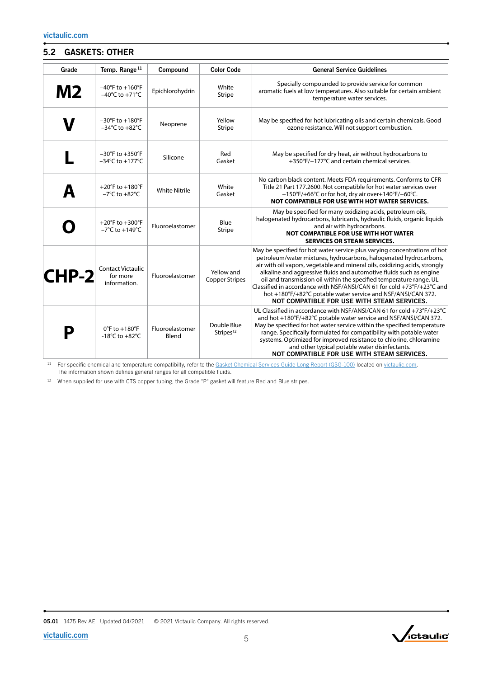### 5.2 GASKETS: OTHER

| Grade   | Temp. Range <sup>11</sup>                                                  | Compound                 | <b>Color Code</b>                    | <b>General Service Guidelines</b>                                                                                                                                                                                                                                                                                                                                                                                                                                                                                                                                   |
|---------|----------------------------------------------------------------------------|--------------------------|--------------------------------------|---------------------------------------------------------------------------------------------------------------------------------------------------------------------------------------------------------------------------------------------------------------------------------------------------------------------------------------------------------------------------------------------------------------------------------------------------------------------------------------------------------------------------------------------------------------------|
| M2      | $-40^{\circ}$ F to $+160^{\circ}$ F<br>$-40^{\circ}$ C to $+71^{\circ}$ C  | Epichlorohydrin          | White<br><b>Stripe</b>               | Specially compounded to provide service for common<br>aromatic fuels at low temperatures. Also suitable for certain ambient<br>temperature water services.                                                                                                                                                                                                                                                                                                                                                                                                          |
|         | $-30^{\circ}$ F to $+180^{\circ}$ F<br>$-34^{\circ}$ C to $+82^{\circ}$ C  | Neoprene                 | Yellow<br><b>Stripe</b>              | May be specified for hot lubricating oils and certain chemicals. Good<br>ozone resistance. Will not support combustion.                                                                                                                                                                                                                                                                                                                                                                                                                                             |
|         | $-30^{\circ}$ F to $+350^{\circ}$ F<br>$-34^{\circ}$ C to $+177^{\circ}$ C | Silicone                 | Red<br>Gasket                        | May be specified for dry heat, air without hydrocarbons to<br>+350°F/+177°C and certain chemical services.                                                                                                                                                                                                                                                                                                                                                                                                                                                          |
|         | +20°F to +180°F<br>$-7^{\circ}$ C to $+82^{\circ}$ C                       | <b>White Nitrile</b>     | White<br>Gasket                      | No carbon black content. Meets FDA requirements. Conforms to CFR<br>Title 21 Part 177.2600. Not compatible for hot water services over<br>+150°F/+66°C or for hot, dry air over+140°F/+60°C.<br>NOT COMPATIBLE FOR USE WITH HOT WATER SERVICES.                                                                                                                                                                                                                                                                                                                     |
|         | +20°F to +300°F<br>$-7^{\circ}$ C to $+149^{\circ}$ C                      | Fluoroelastomer          | Blue<br><b>Stripe</b>                | May be specified for many oxidizing acids, petroleum oils,<br>halogenated hydrocarbons, lubricants, hydraulic fluids, organic liquids<br>and air with hydrocarbons.<br>NOT COMPATIBLE FOR USE WITH HOT WATER<br><b>SERVICES OR STEAM SERVICES.</b>                                                                                                                                                                                                                                                                                                                  |
| $CHP-2$ | <b>Contact Victaulic</b><br>for more<br>information.                       | Fluoroelastomer          | Yellow and<br><b>Copper Stripes</b>  | May be specified for hot water service plus varying concentrations of hot<br>petroleum/water mixtures, hydrocarbons, halogenated hydrocarbons,<br>air with oil vapors, vegetable and mineral oils, oxidizing acids, strongly<br>alkaline and aggressive fluids and automotive fluids such as engine<br>oil and transmission oil within the specified temperature range. UL<br>Classified in accordance with NSF/ANSI/CAN 61 for cold +73°F/+23°C and<br>hot +180°F/+82°C potable water service and NSF/ANSI/CAN 372.<br>NOT COMPATIBLE FOR USE WITH STEAM SERVICES. |
|         | $0^{\circ}$ F to $+180^{\circ}$ F<br>-18°C to +82°C                        | Fluoroelastomer<br>Blend | Double Blue<br>Stripes <sup>12</sup> | UL Classified in accordance with NSF/ANSI/CAN 61 for cold +73°F/+23°C<br>and hot +180°F/+82°C potable water service and NSF/ANSI/CAN 372.<br>May be specified for hot water service within the specified temperature<br>range. Specifically formulated for compatibility with potable water<br>systems. Optimized for improved resistance to chlorine, chloramine<br>and other typical potable water disinfectants.<br>NOT COMPATIBLE FOR USE WITH STEAM SERVICES.                                                                                                  |

<sup>11</sup> For specific chemical and temperature compatibilty, refer to the [Gasket Chemical Services Guide Long Report \(GSG-100\)](http://static.victaulic.com/assets/uploads/literature/GSG-100.pdf) located on [victaulic.com](http://www.victaulic.com). The information shown defines general ranges for all compatible fluids.

<sup>12</sup> When supplied for use with CTS copper tubing, the Grade "P" gasket will feature Red and Blue stripes.

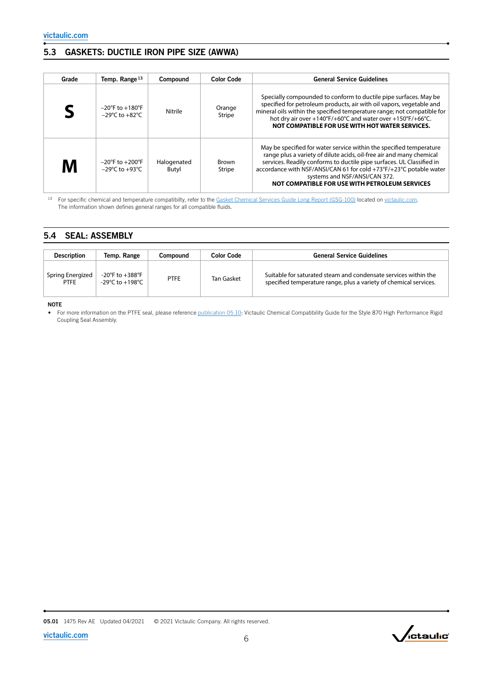### 5.3 GASKETS: DUCTILE IRON PIPE SIZE (AWWA)

| Grade | Temp. Range <sup>13</sup>                                                 | Compound             | <b>Color Code</b>       | <b>General Service Guidelines</b>                                                                                                                                                                                                                                                                                                                                             |
|-------|---------------------------------------------------------------------------|----------------------|-------------------------|-------------------------------------------------------------------------------------------------------------------------------------------------------------------------------------------------------------------------------------------------------------------------------------------------------------------------------------------------------------------------------|
|       | $-20^{\circ}$ F to $+180^{\circ}$ F<br>$-29^{\circ}$ C to $+82^{\circ}$ C | Nitrile              | Orange<br><b>Stripe</b> | Specially compounded to conform to ductile pipe surfaces. May be<br>specified for petroleum products, air with oil vapors, vegetable and<br>mineral oils within the specified temperature range; not compatible for<br>hot dry air over +140°F/+60°C and water over +150°F/+66°C.<br>NOT COMPATIBLE FOR USE WITH HOT WATER SERVICES.                                          |
| M     | $-20^{\circ}$ F to $+200^{\circ}$ F<br>$-29^{\circ}$ C to $+93^{\circ}$ C | Halogenated<br>Butyl | Brown<br>Stripe         | May be specified for water service within the specified temperature<br>range plus a variety of dilute acids, oil-free air and many chemical<br>services. Readily conforms to ductile pipe surfaces. UL Classified in<br>accordance with NSF/ANSI/CAN 61 for cold +73°F/+23°C potable water<br>systems and NSF/ANSI/CAN 372.<br>NOT COMPATIBLE FOR USE WITH PETROLEUM SERVICES |

<sup>13</sup> For specific chemical and temperature compatibilty, refer to the [Gasket Chemical Services Guide Long Report \(GSG-100\)](http://static.victaulic.com/assets/uploads/literature/GSG-100.pdf) located on [victaulic.com](http://www.victaulic.com). The information shown defines general ranges for all compatible fluids.

### 5.4 SEAL: ASSEMBLY

| <b>Description</b>              | Temp. Range                           | Compound | <b>Color Code</b> | <b>General Service Guidelines</b>                                                                                                    |
|---------------------------------|---------------------------------------|----------|-------------------|--------------------------------------------------------------------------------------------------------------------------------------|
| Spring Energized<br><b>PTFE</b> | -20°F to $+388$ °F<br>-29°C to +198°C | PTFE     | Tan Gasket        | Suitable for saturated steam and condensate services within the<br>specified temperature range, plus a variety of chemical services. |

NOTE

• For more information on the PTFE seal, please reference [publication 05.10:](http://static.victaulic.com/assets/uploads/literature/05.10.pdf) Victaulic Chemical Compatibility Guide for the Style 870 High Performance Rigid Coupling Seal Assembly.

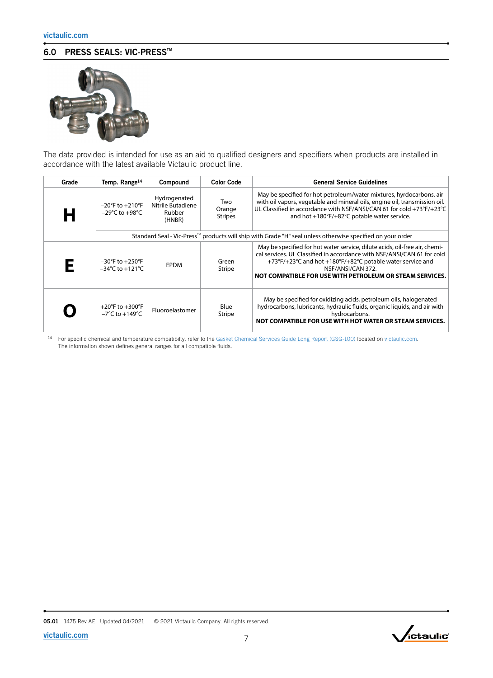## 6.0 PRESS SEALS: VIC-PRESS™



The data provided is intended for use as an aid to qualified designers and specifiers when products are installed in accordance with the latest available Victaulic product line.

| Grade | Temp. Range <sup>14</sup>                                                  | Compound                                              | <b>Color Code</b>               | <b>General Service Guidelines</b>                                                                                                                                                                                                                                                                    |
|-------|----------------------------------------------------------------------------|-------------------------------------------------------|---------------------------------|------------------------------------------------------------------------------------------------------------------------------------------------------------------------------------------------------------------------------------------------------------------------------------------------------|
| Н     | $-20^{\circ}$ F to $+210^{\circ}$ F<br>$-29^{\circ}$ C to $+98^{\circ}$ C  | Hydrogenated<br>Nitrile Butadiene<br>Rubber<br>(HNBR) | Two<br>Orange<br><b>Stripes</b> | May be specified for hot petroleum/water mixtures, hyrdocarbons, air<br>with oil vapors, vegetable and mineral oils, engine oil, transmission oil.<br>UL Classified in accordance with NSF/ANSI/CAN 61 for cold +73°F/+23°C<br>and hot +180°F/+82°C potable water service.                           |
|       |                                                                            |                                                       |                                 | Standard Seal - Vic-Press™ products will ship with Grade "H" seal unless otherwise specified on your order                                                                                                                                                                                           |
| F     | $-30^{\circ}$ F to $+250^{\circ}$ F<br>$-34^{\circ}$ C to $+121^{\circ}$ C | <b>EPDM</b>                                           | Green<br>Stripe                 | May be specified for hot water service, dilute acids, oil-free air, chemi-<br>cal services. UL Classified in accordance with NSF/ANSI/CAN 61 for cold<br>+73°F/+23°C and hot +180°F/+82°C potable water service and<br>NSF/ANSI/CAN 372.<br>NOT COMPATIBLE FOR USE WITH PETROLEUM OR STEAM SERVICES. |
|       | +20°F to +300°F<br>$-7^{\circ}$ C to $+149^{\circ}$ C                      | Fluoroelastomer                                       | Blue<br><b>Stripe</b>           | May be specified for oxidizing acids, petroleum oils, halogenated<br>hydrocarbons, lubricants, hydraulic fluids, organic liquids, and air with<br>hydrocarbons.<br>NOT COMPATIBLE FOR USE WITH HOT WATER OR STEAM SERVICES.                                                                          |

<sup>14</sup> For specific chemical and temperature compatibilty, refer to the [Gasket Chemical Services Guide Long Report \(GSG-100\)](http://static.victaulic.com/assets/uploads/literature/GSG-100.pdf) located on [victaulic.com](http://www.victaulic.com). The information shown defines general ranges for all compatible fluids.

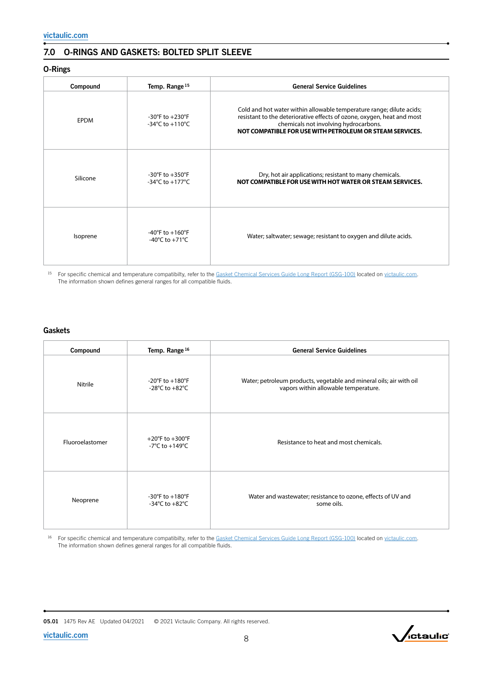### 7.0 O-RINGS AND GASKETS: BOLTED SPLIT SLEEVE

### O-Rings

| Compound | Temp. Range <sup>15</sup>                                                   | <b>General Service Guidelines</b>                                                                                                                                                                                                                   |
|----------|-----------------------------------------------------------------------------|-----------------------------------------------------------------------------------------------------------------------------------------------------------------------------------------------------------------------------------------------------|
| EPDM     | $-30^{\circ}$ F to $+230^{\circ}$ F<br>-34°C to +110°C                      | Cold and hot water within allowable temperature range; dilute acids;<br>resistant to the deteriorative effects of ozone, oxygen, heat and most<br>chemicals not involving hydrocarbons.<br>NOT COMPATIBLE FOR USE WITH PETROLEUM OR STEAM SERVICES. |
| Silicone | $-30^{\circ}$ F to $+350^{\circ}$ F<br>$-34^{\circ}$ C to $+177^{\circ}$ C  | Dry, hot air applications; resistant to many chemicals.<br>NOT COMPATIBLE FOR USE WITH HOT WATER OR STEAM SERVICES.                                                                                                                                 |
| Isoprene | $-40^{\circ}$ F to $+160^{\circ}$ F<br>-40 $^{\circ}$ C to +71 $^{\circ}$ C | Water; saltwater; sewage; resistant to oxygen and dilute acids.                                                                                                                                                                                     |

<sup>15</sup> For specific chemical and temperature compatibilty, refer to the [Gasket Chemical Services Guide Long Report \(GSG-100\)](http://static.victaulic.com/assets/uploads/literature/GSG-100.pdf) located on [victaulic.com.](http://www.victaulic.com) The information shown defines general ranges for all compatible fluids.

### **Gaskets**

| Compound        | Temp. Range <sup>16</sup>                                                   | <b>General Service Guidelines</b>                                                                           |
|-----------------|-----------------------------------------------------------------------------|-------------------------------------------------------------------------------------------------------------|
| Nitrile         | $-20^{\circ}$ F to $+180^{\circ}$ F<br>-28 $^{\circ}$ C to +82 $^{\circ}$ C | Water; petroleum products, vegetable and mineral oils; air with oil<br>vapors within allowable temperature. |
| Fluoroelastomer | +20°F to +300°F<br>-7°C to +149°C                                           | Resistance to heat and most chemicals.                                                                      |
| Neoprene        | -30°F to $+180$ °F<br>-34°C to +82°C                                        | Water and wastewater; resistance to ozone, effects of UV and<br>some oils.                                  |

16 For specific chemical and temperature compatibilty, refer to the [Gasket Chemical Services Guide Long Report \(GSG-100\)](http://static.victaulic.com/assets/uploads/literature/GSG-100.pdf) located on [victaulic.com.](http://www.victaulic.com) The information shown defines general ranges for all compatible fluids.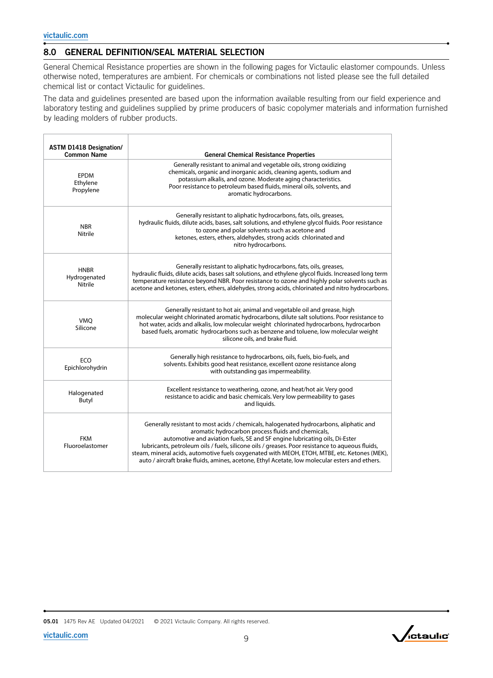### 8.0 GENERAL DEFINITION/SEAL MATERIAL SELECTION

General Chemical Resistance properties are shown in the following pages for Victaulic elastomer compounds. Unless otherwise noted, temperatures are ambient. For chemicals or combinations not listed please see the full detailed chemical list or contact Victaulic for guidelines.

The data and guidelines presented are based upon the information available resulting from our field experience and laboratory testing and guidelines supplied by prime producers of basic copolymer materials and information furnished by leading molders of rubber products.

| <b>ASTM D1418 Designation/</b><br><b>Common Name</b> | <b>General Chemical Resistance Properties</b>                                                                                                                                                                                                                                                                                                                                                                                                                                                                                   |
|------------------------------------------------------|---------------------------------------------------------------------------------------------------------------------------------------------------------------------------------------------------------------------------------------------------------------------------------------------------------------------------------------------------------------------------------------------------------------------------------------------------------------------------------------------------------------------------------|
| <b>EPDM</b><br>Ethylene<br>Propylene                 | Generally resistant to animal and vegetable oils, strong oxidizing<br>chemicals, organic and inorganic acids, cleaning agents, sodium and<br>potassium alkalis, and ozone. Moderate aging characteristics.<br>Poor resistance to petroleum based fluids, mineral oils, solvents, and<br>aromatic hydrocarbons.                                                                                                                                                                                                                  |
| <b>NBR</b><br>Nitrile                                | Generally resistant to aliphatic hydrocarbons, fats, oils, greases,<br>hydraulic fluids, dilute acids, bases, salt solutions, and ethylene glycol fluids. Poor resistance<br>to ozone and polar solvents such as acetone and<br>ketones, esters, ethers, aldehydes, strong acids chlorinated and<br>nitro hydrocarbons.                                                                                                                                                                                                         |
| <b>HNBR</b><br>Hydrogenated<br>Nitrile               | Generally resistant to aliphatic hydrocarbons, fats, oils, greases,<br>hydraulic fluids, dilute acids, bases salt solutions, and ethylene glycol fluids. Increased long term<br>temperature resistance beyond NBR. Poor resistance to ozone and highly polar solvents such as<br>acetone and ketones, esters, ethers, aldehydes, strong acids, chlorinated and nitro hydrocarbons.                                                                                                                                              |
| <b>VMO</b><br>Silicone                               | Generally resistant to hot air, animal and vegetable oil and grease, high<br>molecular weight chlorinated aromatic hydrocarbons, dilute salt solutions. Poor resistance to<br>hot water, acids and alkalis, low molecular weight chlorinated hydrocarbons, hydrocarbon<br>based fuels, aromatic hydrocarbons such as benzene and toluene, low molecular weight<br>silicone oils, and brake fluid.                                                                                                                               |
| ECO<br>Epichlorohydrin                               | Generally high resistance to hydrocarbons, oils, fuels, bio-fuels, and<br>solvents. Exhibits good heat resistance, excellent ozone resistance along<br>with outstanding gas impermeability.                                                                                                                                                                                                                                                                                                                                     |
| Halogenated<br>Butyl                                 | Excellent resistance to weathering, ozone, and heat/hot air. Very good<br>resistance to acidic and basic chemicals. Very low permeability to gases<br>and liquids.                                                                                                                                                                                                                                                                                                                                                              |
| <b>FKM</b><br>Fluoroelastomer                        | Generally resistant to most acids / chemicals, halogenated hydrocarbons, aliphatic and<br>aromatic hydrocarbon process fluids and chemicals,<br>automotive and aviation fuels, SE and SF engine lubricating oils, Di-Ester<br>lubricants, petroleum oils / fuels, silicone oils / greases. Poor resistance to aqueous fluids,<br>steam, mineral acids, automotive fuels oxygenated with MEOH, ETOH, MTBE, etc. Ketones (MEK),<br>auto / aircraft brake fluids, amines, acetone, Ethyl Acetate, low molecular esters and ethers. |

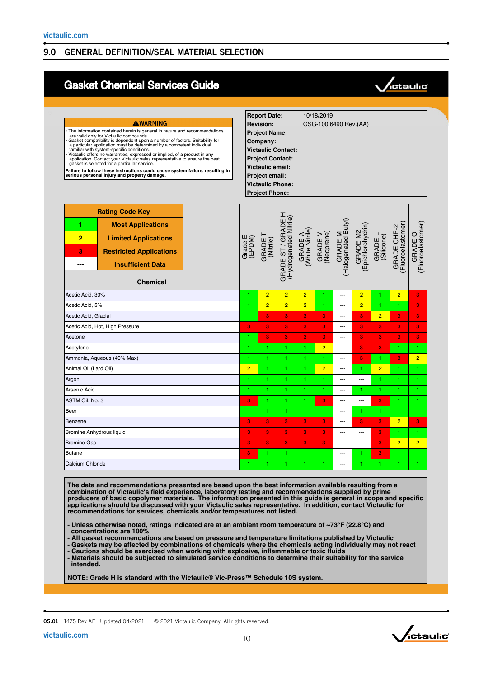### 9.0 GENERAL DEFINITION/SEAL MATERIAL SELECTION

## Gasket Chemical Services Guide



| AWARNING<br>The information contained herein is general in nature and recommendations<br>are valid only for Victaulic compounds.<br>Gasket compatibility is dependent upon a number of factors. Suitability for<br>a particular application must be determined by a competent individual<br>familiar with system-specific conditions.<br>Victaulic offers no warranties, expressed or implied, of a product in any<br>application. Contact your Victaulic sales representative to ensure the best<br>gasket is selected for a particular service.<br>Failure to follow these instructions could cause system failure, resulting in<br>serious personal injury and property damage. |                                                                                                                                                                    |                   | <b>Report Date:</b><br><b>Revision:</b><br><b>Project Name:</b><br>Company:<br><b>Victaulic Contact:</b><br><b>Project Contact:</b><br><b>Victaulic email:</b><br>Project email:<br><b>Victaulic Phone:</b><br><b>Project Phone:</b> |                                                 | 10/18/2019<br>GSG-100 6490 Rev. (AA) |                       |                                |                              |                       |                                  |                              |
|------------------------------------------------------------------------------------------------------------------------------------------------------------------------------------------------------------------------------------------------------------------------------------------------------------------------------------------------------------------------------------------------------------------------------------------------------------------------------------------------------------------------------------------------------------------------------------------------------------------------------------------------------------------------------------|--------------------------------------------------------------------------------------------------------------------------------------------------------------------|-------------------|--------------------------------------------------------------------------------------------------------------------------------------------------------------------------------------------------------------------------------------|-------------------------------------------------|--------------------------------------|-----------------------|--------------------------------|------------------------------|-----------------------|----------------------------------|------------------------------|
| 1<br>2<br>3<br>---                                                                                                                                                                                                                                                                                                                                                                                                                                                                                                                                                                                                                                                                 | <b>Rating Code Key</b><br><b>Most Applications</b><br><b>Limited Applications</b><br><b>Restricted Applications</b><br><b>Insufficient Data</b><br><b>Chemical</b> | Grade E<br>(EPDM) | (Nitrile)<br>GRADE                                                                                                                                                                                                                   | I<br>(Hydrogenated Nitrile)<br>GRADE ST / GRADE | GRADE A<br>(White Nitrile)           | GRADE V<br>(Neoprene) | GRADE M<br>(Halogenated Butyl) | GRADE M2<br>Epichlorohydrin) | GRADE L<br>(Silicone) | GRADE CHP-2<br>(Fluoroelastomer) | GRADE O<br>(Fluoroelastomer) |
| Acetic Acid, 30%                                                                                                                                                                                                                                                                                                                                                                                                                                                                                                                                                                                                                                                                   |                                                                                                                                                                    | 1                 | $\overline{2}$                                                                                                                                                                                                                       | $\overline{2}$                                  | $\overline{2}$                       | 1                     | ---                            | $\overline{2}$               | 1                     | $\overline{2}$                   | 3                            |
| Acetic Acid, 5%                                                                                                                                                                                                                                                                                                                                                                                                                                                                                                                                                                                                                                                                    |                                                                                                                                                                    | 1                 | $\overline{2}$                                                                                                                                                                                                                       | $\overline{2}$                                  | $\overline{2}$                       | 1.                    | ---                            | $\overline{2}$               | 1                     | 1                                | 3                            |
| Acetic Acid, Glacial                                                                                                                                                                                                                                                                                                                                                                                                                                                                                                                                                                                                                                                               |                                                                                                                                                                    | 1                 | 3                                                                                                                                                                                                                                    | 3                                               | 3                                    | 3                     | ---                            | 3                            | $\overline{2}$        | 3                                | 3                            |
|                                                                                                                                                                                                                                                                                                                                                                                                                                                                                                                                                                                                                                                                                    | Acetic Acid, Hot, High Pressure                                                                                                                                    | 3                 | 3                                                                                                                                                                                                                                    | 3                                               | 3                                    | 3                     | $\overline{a}$                 | 3                            | 3                     | 3                                | 3                            |
| Acetone                                                                                                                                                                                                                                                                                                                                                                                                                                                                                                                                                                                                                                                                            |                                                                                                                                                                    | 1                 | 3                                                                                                                                                                                                                                    | 3                                               | 3                                    | 3                     | ---                            | 3                            | 3                     | 3                                | 3                            |
| Acetylene                                                                                                                                                                                                                                                                                                                                                                                                                                                                                                                                                                                                                                                                          |                                                                                                                                                                    | 1                 | 1                                                                                                                                                                                                                                    | 1                                               | 1                                    | $\overline{2}$        | ---                            | 3                            | 3                     | 1                                | 1                            |
|                                                                                                                                                                                                                                                                                                                                                                                                                                                                                                                                                                                                                                                                                    | Ammonia, Aqueous (40% Max)                                                                                                                                         | 1                 | 1                                                                                                                                                                                                                                    | 1                                               | 1                                    | 1.                    | $\sim$                         | 3                            | 1                     | 3                                | $\overline{2}$               |
| Animal Oil (Lard Oil)                                                                                                                                                                                                                                                                                                                                                                                                                                                                                                                                                                                                                                                              |                                                                                                                                                                    | $\overline{2}$    |                                                                                                                                                                                                                                      | 1                                               | 1                                    | $\overline{2}$        | ---                            | 1                            | $\overline{2}$        | 1                                | 1                            |
| Argon                                                                                                                                                                                                                                                                                                                                                                                                                                                                                                                                                                                                                                                                              |                                                                                                                                                                    | 1                 |                                                                                                                                                                                                                                      | 1                                               | 1                                    | 1.                    | ---                            |                              | 1                     | 1                                | 1                            |
| Arsenic Acid                                                                                                                                                                                                                                                                                                                                                                                                                                                                                                                                                                                                                                                                       |                                                                                                                                                                    | 1                 | H                                                                                                                                                                                                                                    | 1                                               | 1                                    | H.                    | ---                            | 1                            | 1                     | 1                                | 1                            |
| ASTM Oil, No. 3                                                                                                                                                                                                                                                                                                                                                                                                                                                                                                                                                                                                                                                                    |                                                                                                                                                                    | 3                 | 1                                                                                                                                                                                                                                    | 1                                               | 1                                    | 3                     | $\overline{a}$                 | ---                          | 3                     | 1                                | 1                            |
| Beer                                                                                                                                                                                                                                                                                                                                                                                                                                                                                                                                                                                                                                                                               |                                                                                                                                                                    | 1.                | 1                                                                                                                                                                                                                                    | 1                                               | 1                                    | 1.                    | $\overline{a}$                 | 1                            | 1                     | 1                                | 1                            |
| Benzene                                                                                                                                                                                                                                                                                                                                                                                                                                                                                                                                                                                                                                                                            |                                                                                                                                                                    | 3                 | 3                                                                                                                                                                                                                                    | 3                                               | 3                                    | 3                     | ---                            | 3                            | 3                     | $\overline{2}$                   | 3                            |
| <b>Bromine Anhydrous liquid</b>                                                                                                                                                                                                                                                                                                                                                                                                                                                                                                                                                                                                                                                    |                                                                                                                                                                    | 3                 | 3                                                                                                                                                                                                                                    | 3                                               | 3                                    | 3                     | ---                            | ---                          | 3                     | 1                                | 1.                           |
| <b>Bromine Gas</b>                                                                                                                                                                                                                                                                                                                                                                                                                                                                                                                                                                                                                                                                 |                                                                                                                                                                    | 3                 | 3                                                                                                                                                                                                                                    | 3                                               | 3                                    | 3                     | $\sim$                         |                              | 3                     | $\overline{2}$                   | $\overline{2}$               |
| <b>Butane</b>                                                                                                                                                                                                                                                                                                                                                                                                                                                                                                                                                                                                                                                                      |                                                                                                                                                                    | 3                 |                                                                                                                                                                                                                                      | 1                                               | 1                                    |                       | $\overline{a}$                 | 1                            | 3                     | 1                                | 1                            |
| Calcium Chloride                                                                                                                                                                                                                                                                                                                                                                                                                                                                                                                                                                                                                                                                   |                                                                                                                                                                    | 1.                |                                                                                                                                                                                                                                      | 1                                               | 1                                    | 1.                    | ---                            | 1                            | 1                     | 1                                | 1                            |

**The data and recommendations presented are based upon the best information available resulting from a combination of Victaulic's field experience, laboratory testing and recommendations supplied by prime producers of basic copolymer materials. The information presented in this guide is general in scope and specific applications should be discussed with your Victaulic sales representative. In addition, contact Victaulic for recommendations for services, chemicals and/or temperatures not listed.**

**- Unless otherwise noted, ratings indicated are at an ambient room temperature of ~73°F (22.8°C) and concentrations are 100%**

**- All gasket recommendations are based on pressure and temperature limitations published by Victaulic**

**- Gaskets may be affected by combinations of chemicals where the chemicals acting individually may not react**

**- Cautions should be exercised when working with explosive, inflammable or toxic fluids - Materials should be subjected to simulated service conditions to determine their suitability for the service intended.**

**NOTE: Grade H is standard with the Victaulic® Vic-Press™ Schedule 10S system.**

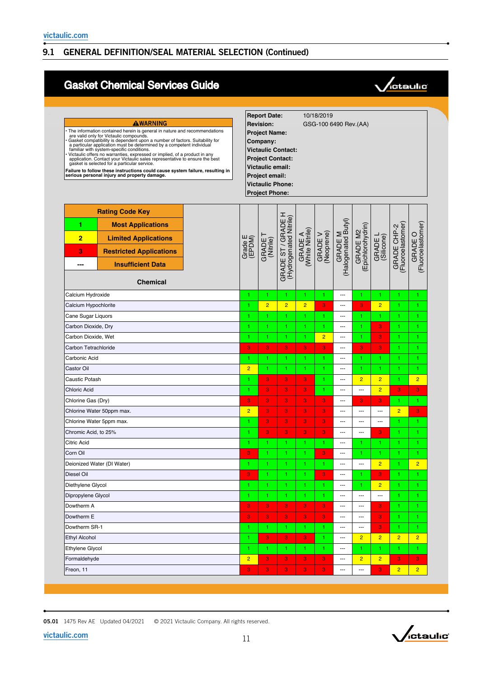# Gasket Chemical Services Guide



| AWARNING<br>The information contained herein is general in nature and recommendations<br>are valid only for Victaulic compounds.<br>Gasket compatibility is dependent upon a number of factors. Suitability for<br>a particular application must be determined by a competent individual<br>familiar with system-specific conditions.<br>Victaulic offers no warranties, expressed or implied, of a product in any<br>application. Contact your Victaulic sales representative to ensure the best<br>gasket is selected for a particular service.<br>Failure to follow these instructions could cause system failure, resulting in<br>serious personal injury and property damage. |                                                                                                                                                                    |  |                   | <b>Report Date:</b><br><b>Revision:</b><br><b>Project Name:</b><br>Company:<br><b>Victaulic Contact:</b><br><b>Project Contact:</b><br>Victaulic email:<br><b>Project email:</b><br><b>Victaulic Phone:</b><br><b>Project Phone:</b> |                                              |                            | 10/18/2019            | GSG-100 6490 Rev.(AA)          |                               |                         |                                  |                              |
|------------------------------------------------------------------------------------------------------------------------------------------------------------------------------------------------------------------------------------------------------------------------------------------------------------------------------------------------------------------------------------------------------------------------------------------------------------------------------------------------------------------------------------------------------------------------------------------------------------------------------------------------------------------------------------|--------------------------------------------------------------------------------------------------------------------------------------------------------------------|--|-------------------|--------------------------------------------------------------------------------------------------------------------------------------------------------------------------------------------------------------------------------------|----------------------------------------------|----------------------------|-----------------------|--------------------------------|-------------------------------|-------------------------|----------------------------------|------------------------------|
| 1<br>$\overline{2}$<br>3<br>---                                                                                                                                                                                                                                                                                                                                                                                                                                                                                                                                                                                                                                                    | <b>Rating Code Key</b><br><b>Most Applications</b><br><b>Limited Applications</b><br><b>Restricted Applications</b><br><b>Insufficient Data</b><br><b>Chemical</b> |  | Grade E<br>(EPDM) | GRADE<br>(Nitrile)                                                                                                                                                                                                                   | GRADE ST / GRADE H<br>(Hydrogenated Nitrile) | GRADE A<br>(White Nitrile) | GRADE V<br>(Neoprene) | GRADE M<br>(Halogenated Butyl) | GRADE M2<br>(Epichlorohydrin) | GRADE L<br>(Silicone)   | GRADE CHP-2<br>(Fluoroelastomer) | GRADE O<br>(Fluoroelastomer) |
| Calcium Hydroxide                                                                                                                                                                                                                                                                                                                                                                                                                                                                                                                                                                                                                                                                  |                                                                                                                                                                    |  |                   | 1                                                                                                                                                                                                                                    | 1                                            | 1                          | 1                     | ---                            | 1.                            | 1                       | 1                                | 1                            |
| Calcium Hypochlorite                                                                                                                                                                                                                                                                                                                                                                                                                                                                                                                                                                                                                                                               |                                                                                                                                                                    |  |                   | $\overline{2}$                                                                                                                                                                                                                       | $\overline{2}$                               | $\overline{2}$             | 3                     | ---                            | 3                             | $\overline{2}$          | 1                                | 1                            |
| Cane Sugar Liquors                                                                                                                                                                                                                                                                                                                                                                                                                                                                                                                                                                                                                                                                 |                                                                                                                                                                    |  |                   | 1                                                                                                                                                                                                                                    | 1                                            | 1                          | 1.                    | ---                            | 1.                            | 1                       | 1                                | 1                            |
| Carbon Dioxide, Dry                                                                                                                                                                                                                                                                                                                                                                                                                                                                                                                                                                                                                                                                |                                                                                                                                                                    |  |                   | 1                                                                                                                                                                                                                                    | 1.                                           | 1                          | 1                     | ---                            | 1.                            | 3                       | 1                                | 1                            |
| Carbon Dioxide, Wet                                                                                                                                                                                                                                                                                                                                                                                                                                                                                                                                                                                                                                                                |                                                                                                                                                                    |  |                   | 1                                                                                                                                                                                                                                    | 1                                            | 1                          | $\overline{2}$        | ---                            | 1.                            | 3                       | 1                                | 1                            |
| Carbon Tetrachloride                                                                                                                                                                                                                                                                                                                                                                                                                                                                                                                                                                                                                                                               |                                                                                                                                                                    |  | 3                 | 3                                                                                                                                                                                                                                    | 3                                            | 3                          | 3                     | ---                            | 3                             | 3                       | 1                                | 1                            |
| Carbonic Acid                                                                                                                                                                                                                                                                                                                                                                                                                                                                                                                                                                                                                                                                      |                                                                                                                                                                    |  |                   | 1                                                                                                                                                                                                                                    | 1                                            | 1                          | 1                     | ---                            | 1.                            | 1                       | 1                                | 1                            |
| Castor Oil                                                                                                                                                                                                                                                                                                                                                                                                                                                                                                                                                                                                                                                                         |                                                                                                                                                                    |  | $\overline{2}$    | 1                                                                                                                                                                                                                                    | 1.                                           | 1                          | 1.                    | $\overline{a}$                 | 1.                            | 1                       | 1                                | 1                            |
| Caustic Potash                                                                                                                                                                                                                                                                                                                                                                                                                                                                                                                                                                                                                                                                     |                                                                                                                                                                    |  |                   | 3                                                                                                                                                                                                                                    | 3                                            | 3                          | 1                     | ---                            | $\overline{2}$                | $\overline{2}$          | 1                                | $\overline{2}$               |
| <b>Chloric Acid</b>                                                                                                                                                                                                                                                                                                                                                                                                                                                                                                                                                                                                                                                                |                                                                                                                                                                    |  |                   | 3                                                                                                                                                                                                                                    | 3                                            | 3                          | 1                     | ---                            | ---                           | $\overline{2}$          | 3                                | 3                            |
| Chlorine Gas (Dry)                                                                                                                                                                                                                                                                                                                                                                                                                                                                                                                                                                                                                                                                 |                                                                                                                                                                    |  | 3                 | 3                                                                                                                                                                                                                                    | 3                                            | 3                          | 3                     | ---                            | 3                             | 3                       | 1                                | 1                            |
|                                                                                                                                                                                                                                                                                                                                                                                                                                                                                                                                                                                                                                                                                    | Chlorine Water 50ppm max.                                                                                                                                          |  | $\overline{2}$    | 3                                                                                                                                                                                                                                    | 3                                            | 3                          | 3                     | $\overline{a}$                 | $\overline{a}$                | ---                     | $\overline{2}$                   | 3                            |
| Chlorine Water 5ppm max.                                                                                                                                                                                                                                                                                                                                                                                                                                                                                                                                                                                                                                                           |                                                                                                                                                                    |  |                   | 3                                                                                                                                                                                                                                    | 3                                            | 3                          | 3                     | $\overline{a}$                 | ---                           | ---                     | 1                                | 1                            |
| Chromic Acid, to 25%                                                                                                                                                                                                                                                                                                                                                                                                                                                                                                                                                                                                                                                               |                                                                                                                                                                    |  |                   | 3                                                                                                                                                                                                                                    | 3                                            | 3                          | 3                     | ---                            | ---                           | 3                       | 1                                | 1                            |
| Citric Acid                                                                                                                                                                                                                                                                                                                                                                                                                                                                                                                                                                                                                                                                        |                                                                                                                                                                    |  |                   | 1                                                                                                                                                                                                                                    | 1.                                           | 1                          | 1                     | ---                            | 1.                            | 1.                      | 1                                | 1                            |
| Corn Oil                                                                                                                                                                                                                                                                                                                                                                                                                                                                                                                                                                                                                                                                           |                                                                                                                                                                    |  | 3                 | 1                                                                                                                                                                                                                                    | 1.                                           | 1                          | 3                     | $\overline{a}$                 | 1.                            | 1                       | 1                                | 1                            |
|                                                                                                                                                                                                                                                                                                                                                                                                                                                                                                                                                                                                                                                                                    | Deionized Water (DI Water)                                                                                                                                         |  |                   | 1                                                                                                                                                                                                                                    | 1                                            | 1                          | 1                     | ---                            | ---                           | $\overline{2}$          | 1                                | $\overline{2}$               |
| Diesel Oil                                                                                                                                                                                                                                                                                                                                                                                                                                                                                                                                                                                                                                                                         |                                                                                                                                                                    |  | 3                 |                                                                                                                                                                                                                                      |                                              |                            | 3                     | ---                            |                               | 3                       |                                  |                              |
| Diethylene Glycol                                                                                                                                                                                                                                                                                                                                                                                                                                                                                                                                                                                                                                                                  |                                                                                                                                                                    |  | 1.                | 1                                                                                                                                                                                                                                    | 1                                            | 1.                         | 1.                    | ---                            | 1                             | $\overline{2}$          | 1                                | 1                            |
| Dipropylene Glycol                                                                                                                                                                                                                                                                                                                                                                                                                                                                                                                                                                                                                                                                 |                                                                                                                                                                    |  | 1                 | 1                                                                                                                                                                                                                                    | 1.                                           | 1                          | 1                     | ---                            | ---                           | ---                     | 1                                | 1                            |
| Dowtherm A                                                                                                                                                                                                                                                                                                                                                                                                                                                                                                                                                                                                                                                                         |                                                                                                                                                                    |  | 3                 | 3                                                                                                                                                                                                                                    | 3                                            | 3                          | $\mathbf{3}$          | $\overline{\phantom{a}}$       | ---                           | $\overline{\mathbf{3}}$ | 1                                | 1                            |
| Dowtherm E                                                                                                                                                                                                                                                                                                                                                                                                                                                                                                                                                                                                                                                                         |                                                                                                                                                                    |  | 3                 | 3                                                                                                                                                                                                                                    | 3                                            | $\mathbf{3}$               | $\boldsymbol{3}$      | ---                            | ---                           | ${\bf 3}$               | 1.                               | 1.                           |
| Dowtherm SR-1                                                                                                                                                                                                                                                                                                                                                                                                                                                                                                                                                                                                                                                                      |                                                                                                                                                                    |  | 1                 | 1.                                                                                                                                                                                                                                   | 1.                                           | 1.                         | 1                     | ---                            | ---                           | 3                       | 1                                | 1                            |
| <b>Ethyl Alcohol</b>                                                                                                                                                                                                                                                                                                                                                                                                                                                                                                                                                                                                                                                               |                                                                                                                                                                    |  | 1                 | 3                                                                                                                                                                                                                                    | 3                                            | 3                          | 1.                    | $\overline{\phantom{a}}$       | $\overline{2}$                | $\overline{2}$          | $\overline{2}$                   | $\overline{2}$               |
| Ethylene Glycol                                                                                                                                                                                                                                                                                                                                                                                                                                                                                                                                                                                                                                                                    |                                                                                                                                                                    |  | 1                 | 1.                                                                                                                                                                                                                                   | 1.                                           | 1.                         | 1                     | $\overline{\phantom{a}}$       | 1.                            | 1.                      | 1.                               | 1                            |
| Formaldehyde                                                                                                                                                                                                                                                                                                                                                                                                                                                                                                                                                                                                                                                                       |                                                                                                                                                                    |  | $\overline{2}$    | 3                                                                                                                                                                                                                                    | 3                                            | 3                          | $\boldsymbol{3}$      | $\overline{\phantom{a}}$       | $\overline{2}$                | $\overline{2}$          | $\bf{3}$                         | $\mathbf{3}$                 |
| Freon, 11                                                                                                                                                                                                                                                                                                                                                                                                                                                                                                                                                                                                                                                                          |                                                                                                                                                                    |  | 3                 | 3                                                                                                                                                                                                                                    | 3                                            | 3                          | $\bf 3$               | ---                            | $\overline{\phantom{a}}$      | $\overline{\mathbf{3}}$ | $\overline{2}$                   | $\overline{2}$               |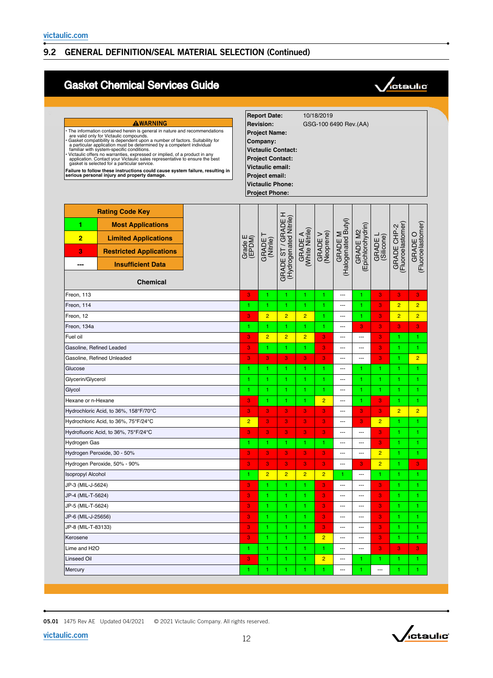# Gasket Chemical Services Guide



| Gasket compatibility is dependent upon a number of factors. Suitability for<br>a particular application must be determined by a competent individual<br>familiar with system-specific conditions.<br>Victaulic offers no warranties, expressed or implied, of a product in any<br>application. Contact your Victaulic sales representative to ensure the best<br>gasket is selected for a particular service.<br>Failure to follow these instructions could cause system failure, resulting in<br>serious personal injury and property damage. |                   | <b>Project Name:</b><br>Company:<br><b>Victaulic Contact:</b><br><b>Project Contact:</b><br>Victaulic email:<br>Project email:<br><b>Victaulic Phone:</b><br><b>Project Phone:</b> |                                                 |                            |                       |                                |                              |                       |                                  |                              |
|------------------------------------------------------------------------------------------------------------------------------------------------------------------------------------------------------------------------------------------------------------------------------------------------------------------------------------------------------------------------------------------------------------------------------------------------------------------------------------------------------------------------------------------------|-------------------|------------------------------------------------------------------------------------------------------------------------------------------------------------------------------------|-------------------------------------------------|----------------------------|-----------------------|--------------------------------|------------------------------|-----------------------|----------------------------------|------------------------------|
| <b>Rating Code Key</b><br>1<br><b>Most Applications</b><br>$\overline{2}$<br><b>Limited Applications</b><br>3<br><b>Restricted Applications</b><br><b>Insufficient Data</b><br>---<br><b>Chemical</b>                                                                                                                                                                                                                                                                                                                                          | Grade E<br>(EPDM) | GRADE<br>(Nitrile)                                                                                                                                                                 | I<br>(Hydrogenated Nitrile)<br>GRADE ST / GRADE | GRADE A<br>(White Nitrile) | GRADE V<br>(Neoprene) | GRADE M<br>(Halogenated Butyl) | Epichlorohydrin)<br>GRADE M2 | GRADE L<br>(Silicone) | GRADE CHP-2<br>(Fluoroelastomer) | GRADE O<br>(Fluoroelastomer) |
| Freon, 113                                                                                                                                                                                                                                                                                                                                                                                                                                                                                                                                     | 3                 | 1                                                                                                                                                                                  | 1                                               |                            |                       | $\overline{a}$                 | 1                            | 3                     | 3                                | 3                            |
| Freon, 114                                                                                                                                                                                                                                                                                                                                                                                                                                                                                                                                     | 1                 | 1                                                                                                                                                                                  | 1                                               |                            |                       | ---                            | 1                            | 3                     | $\overline{2}$                   | $\overline{2}$               |
| Freon, 12                                                                                                                                                                                                                                                                                                                                                                                                                                                                                                                                      | 3                 | $\overline{2}$                                                                                                                                                                     | $\overline{2}$                                  | $\overline{2}$             | 1                     | ---                            | 1                            | 3                     | $\overline{2}$                   | $\overline{2}$               |
| Freon, 134a                                                                                                                                                                                                                                                                                                                                                                                                                                                                                                                                    | 1                 | 1                                                                                                                                                                                  | 1                                               | 1                          | 1                     | ---                            | 3                            | 3                     | 3                                | 3                            |
| Fuel oil                                                                                                                                                                                                                                                                                                                                                                                                                                                                                                                                       | 3<br>3            | $\overline{2}$                                                                                                                                                                     | $\overline{2}$                                  | $\overline{2}$             | 3                     | ---                            | ---                          | 3                     | 1.                               | 1                            |
| Gasoline, Refined Leaded                                                                                                                                                                                                                                                                                                                                                                                                                                                                                                                       |                   | 1                                                                                                                                                                                  | 1                                               |                            | 3                     | $\overline{a}$                 | ---                          | 3                     | 1                                | 1                            |
| Gasoline, Refined Unleaded                                                                                                                                                                                                                                                                                                                                                                                                                                                                                                                     |                   | 3                                                                                                                                                                                  | 3                                               | 3                          | 3                     | ---                            | ---                          | 3                     | 1                                | $\overline{2}$               |
| Glucose                                                                                                                                                                                                                                                                                                                                                                                                                                                                                                                                        |                   | 1                                                                                                                                                                                  | 1                                               | 1.                         | 1                     | ---                            | 1                            | 1.                    | 1                                | 1.                           |
| Glycerin/Glycerol                                                                                                                                                                                                                                                                                                                                                                                                                                                                                                                              | 1                 | 1                                                                                                                                                                                  | 1                                               | 1                          | 1                     | $\overline{a}$                 | 1                            | 1.                    | 1                                | 1                            |
| Glycol                                                                                                                                                                                                                                                                                                                                                                                                                                                                                                                                         | 1                 | 1                                                                                                                                                                                  | 1                                               |                            | 1                     | $\overline{a}$                 | 1                            | 1.                    | 1.                               | 1                            |
| Hexane or n-Hexane                                                                                                                                                                                                                                                                                                                                                                                                                                                                                                                             | 3                 | 1                                                                                                                                                                                  | 1                                               |                            | $\overline{2}$        | ---                            | 1                            | 3                     | 1.                               | 1                            |
| Hydrochloric Acid, to 36%, 158°F/70°C                                                                                                                                                                                                                                                                                                                                                                                                                                                                                                          | 3                 | 3                                                                                                                                                                                  | 3                                               | 3                          | 3                     | ---                            | 3                            | 3                     | $\overline{2}$                   | $\overline{2}$               |
| Hydrochloric Acid, to 36%, 75°F/24°C                                                                                                                                                                                                                                                                                                                                                                                                                                                                                                           | $\overline{2}$    | 3                                                                                                                                                                                  | 3                                               | 3                          | 3                     | ---                            | 3                            | $\overline{2}$        | 1                                | 1                            |
| Hydrofluoric Acid, to 36%, 75°F/24°C                                                                                                                                                                                                                                                                                                                                                                                                                                                                                                           | 3                 | 3                                                                                                                                                                                  | $\overline{\mathbf{3}}$                         | 3                          | 3                     | ---<br>---                     | ---<br>---                   | 3<br>3                | 1.                               | 1                            |
| Hydrogen Gas<br>Hydrogen Peroxide, 30 - 50%                                                                                                                                                                                                                                                                                                                                                                                                                                                                                                    | 1<br>3            | 1<br>3                                                                                                                                                                             | 1<br>3                                          | 1.<br>3                    | 1<br>3                | ---                            | ---                          | $\overline{2}$        | 1.<br>1                          | 1<br>1                       |
| Hydrogen Peroxide, 50% - 90%                                                                                                                                                                                                                                                                                                                                                                                                                                                                                                                   | 3                 | 3                                                                                                                                                                                  | 3                                               | 3                          | 3                     | $\overline{a}$                 | 3                            | $\overline{2}$        | 1                                | 3                            |
| <b>Isopropyl Alcohol</b>                                                                                                                                                                                                                                                                                                                                                                                                                                                                                                                       |                   | $\overline{2}$                                                                                                                                                                     | $\overline{2}$                                  | $\overline{c}$             | $\overline{2}$        |                                | ---                          |                       |                                  |                              |
| JP-3 (MIL-J-5624)                                                                                                                                                                                                                                                                                                                                                                                                                                                                                                                              | 3                 | 1                                                                                                                                                                                  | 1.                                              | 1.                         | 3                     | ---                            | ---                          | 3                     | 1.                               | 1.                           |
| JP-4 (MIL-T-5624)                                                                                                                                                                                                                                                                                                                                                                                                                                                                                                                              | 3                 | 1                                                                                                                                                                                  | 1.                                              | 1.                         | 3                     | ---                            | ---                          | 3                     | $\mathbf{1}$                     | 1.                           |
| JP-5 (MIL-T-5624)                                                                                                                                                                                                                                                                                                                                                                                                                                                                                                                              | 3                 | 1.                                                                                                                                                                                 | 1.                                              | 1.                         | 3                     | ---                            | ---                          | 3                     | 1.                               | 1.                           |
| JP-6 (MIL-J-25656)                                                                                                                                                                                                                                                                                                                                                                                                                                                                                                                             | 3                 | 1                                                                                                                                                                                  | 1.                                              | 1.                         | 3                     | ---                            | ---                          | 3                     | 1.                               | 1.                           |
| JP-8 (MIL-T-83133)                                                                                                                                                                                                                                                                                                                                                                                                                                                                                                                             | 3                 | 1                                                                                                                                                                                  | 1.                                              | 1.                         | 3                     | ---                            | ---                          | 3                     | 1.                               | 1.                           |
| Kerosene                                                                                                                                                                                                                                                                                                                                                                                                                                                                                                                                       | 3                 | $\mathbf{1}$                                                                                                                                                                       | $\mathbf{1}$                                    | 1.                         | $\overline{2}$        | ---                            | ---                          | 3                     | $\mathbf{1}$                     | 1.                           |
| Lime and H2O                                                                                                                                                                                                                                                                                                                                                                                                                                                                                                                                   | 1.                | 1.                                                                                                                                                                                 | 1.                                              | 1.                         | 1.                    | ---                            | $\overline{\phantom{a}}$     | 3                     | $\mathbf{3}$                     | 3 <sub>1</sub>               |
| Linseed Oil                                                                                                                                                                                                                                                                                                                                                                                                                                                                                                                                    | 3                 | 1.                                                                                                                                                                                 | 1.                                              | 1.                         | $\overline{2}$        | ---                            | 1                            | 1.                    | 1.                               | 1.                           |
| Mercury                                                                                                                                                                                                                                                                                                                                                                                                                                                                                                                                        | 1.                | $\mathbf{1}$                                                                                                                                                                       | 1.                                              | 1.                         | 1.                    | $\qquad \qquad \cdots$         | 1                            | ---                   | $\mathbf{1}$                     | 1.                           |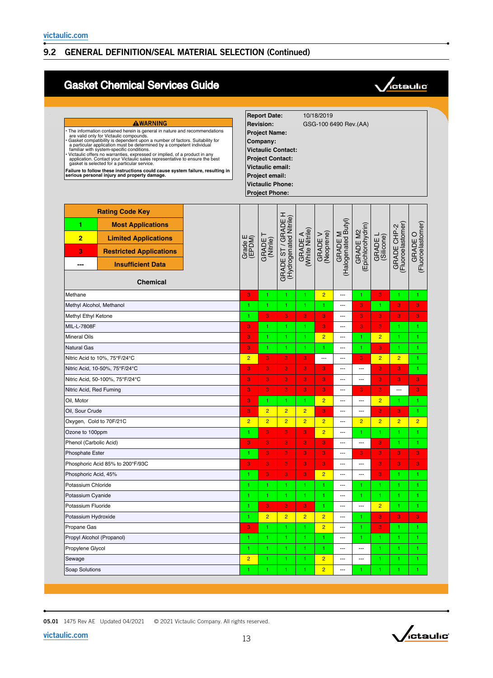# Gasket Chemical Services Guide



| AWARNING<br>The information contained herein is general in nature and recommendations<br>are valid only for Victaulic compounds.<br>Gasket compatibility is dependent upon a number of factors. Suitability for<br>a particular application must be determined by a competent individual<br>familiar with system-specific conditions.<br>Victaulic offers no warranties, expressed or implied, of a product in any<br>application. Contact your Victaulic sales representative to ensure the best<br>gasket is selected for a particular service.<br>Failure to follow these instructions could cause system failure, resulting in<br>serious personal injury and property damage. |                   | <b>Report Date:</b><br><b>Revision:</b><br><b>Project Name:</b><br>Company:<br><b>Victaulic Contact:</b><br><b>Project Contact:</b><br>Victaulic email:<br>Project email:<br><b>Victaulic Phone:</b><br><b>Project Phone:</b> |                                              |                            | 10/18/2019            | GSG-100 6490 Rev.(AA)          |                               |                       |                                  |                              |
|------------------------------------------------------------------------------------------------------------------------------------------------------------------------------------------------------------------------------------------------------------------------------------------------------------------------------------------------------------------------------------------------------------------------------------------------------------------------------------------------------------------------------------------------------------------------------------------------------------------------------------------------------------------------------------|-------------------|-------------------------------------------------------------------------------------------------------------------------------------------------------------------------------------------------------------------------------|----------------------------------------------|----------------------------|-----------------------|--------------------------------|-------------------------------|-----------------------|----------------------------------|------------------------------|
| <b>Rating Code Key</b><br>1<br><b>Most Applications</b><br>$\overline{2}$<br><b>Limited Applications</b><br>3<br><b>Restricted Applications</b><br><b>Insufficient Data</b><br>---<br><b>Chemical</b>                                                                                                                                                                                                                                                                                                                                                                                                                                                                              | Grade E<br>(EPDM) | GRADE <sup>-</sup><br>(Nitrile)                                                                                                                                                                                               | GRADE ST / GRADE H<br>(Hydrogenated Nitrile) | GRADE A<br>(White Nitrile) | GRADE V<br>(Neoprene) | GRADE M<br>(Halogenated Butyl) | GRADE M2<br>(Epichlorohydrin) | GRADE L<br>(Silicone) | GRADE CHP-2<br>(Fluoroelastomer) | (Fluoroelastomer)<br>GRADE O |
| Methane                                                                                                                                                                                                                                                                                                                                                                                                                                                                                                                                                                                                                                                                            | 3                 | 1                                                                                                                                                                                                                             | 1                                            | 1                          | $\overline{2}$        | ---                            | 1                             | 3                     | 1.                               | 1                            |
| Methyl Alcohol, Methanol                                                                                                                                                                                                                                                                                                                                                                                                                                                                                                                                                                                                                                                           | 1                 |                                                                                                                                                                                                                               | 1                                            | 1                          | 1                     | ---                            | 3                             | 1                     | 3                                | 3                            |
| Methyl Ethyl Ketone                                                                                                                                                                                                                                                                                                                                                                                                                                                                                                                                                                                                                                                                | 1                 | 3                                                                                                                                                                                                                             | 3                                            | 3                          | 3                     | ---                            | 3                             | 3                     | 3                                | 3                            |
| MIL-L-7808F                                                                                                                                                                                                                                                                                                                                                                                                                                                                                                                                                                                                                                                                        | 3                 |                                                                                                                                                                                                                               | 1                                            | 1                          | 3                     | ---                            | 3                             | 3                     | 1                                | 1                            |
| <b>Mineral Oils</b>                                                                                                                                                                                                                                                                                                                                                                                                                                                                                                                                                                                                                                                                | 3                 | 1                                                                                                                                                                                                                             | 1                                            | 1                          | $\overline{2}$        | ---                            | 1.                            | $\overline{2}$        | 1.                               | 1                            |
| <b>Natural Gas</b>                                                                                                                                                                                                                                                                                                                                                                                                                                                                                                                                                                                                                                                                 | 3                 | 1                                                                                                                                                                                                                             | 1                                            | 1                          | 1                     | ---                            | 1                             | 3                     | 1.                               | 1                            |
| Nitric Acid to 10%, 75°F/24°C                                                                                                                                                                                                                                                                                                                                                                                                                                                                                                                                                                                                                                                      | $\overline{2}$    | 3                                                                                                                                                                                                                             | 3                                            | $\mathbf{3}$               | ---                   | ---                            | 3                             | $\overline{2}$        | $\overline{2}$                   | 1                            |
| Nitric Acid, 10-50%, 75°F/24°C                                                                                                                                                                                                                                                                                                                                                                                                                                                                                                                                                                                                                                                     |                   | 3                                                                                                                                                                                                                             | 3                                            | 3                          | 3                     | ---                            | ---                           | 3                     | 3                                | 1                            |
| Nitric Acid, 50-100%, 75°F/24°C                                                                                                                                                                                                                                                                                                                                                                                                                                                                                                                                                                                                                                                    | 3                 | 3                                                                                                                                                                                                                             | 3                                            | 3                          | 3                     | ---                            | ---                           | 3                     | 3                                | 3                            |
| Nitric Acid, Red Fuming                                                                                                                                                                                                                                                                                                                                                                                                                                                                                                                                                                                                                                                            | 3                 | 3                                                                                                                                                                                                                             | 3                                            | 3                          | 3                     | ---                            | 3                             | 3                     | ---                              | 3                            |
| Oil, Motor                                                                                                                                                                                                                                                                                                                                                                                                                                                                                                                                                                                                                                                                         | 3                 | 1                                                                                                                                                                                                                             | 1                                            | 1.                         | $\overline{2}$        | $\overline{a}$                 | ---                           | $\overline{2}$        | 1                                | 1.                           |
| Oil, Sour Crude                                                                                                                                                                                                                                                                                                                                                                                                                                                                                                                                                                                                                                                                    | 3                 | $\overline{2}$                                                                                                                                                                                                                | $\overline{2}$                               | $\overline{2}$             | 3                     | $\overline{a}$                 | ---                           | 3                     | 3                                | 1                            |
| Oxygen, Cold to 70F/21C                                                                                                                                                                                                                                                                                                                                                                                                                                                                                                                                                                                                                                                            | $\overline{2}$    | $\overline{2}$                                                                                                                                                                                                                | $\overline{2}$                               | $\overline{2}$             | $\overline{2}$        | ---                            | $\overline{2}$                | $\overline{2}$        | $\overline{2}$                   | $\overline{2}$               |
| Ozone to 100ppm                                                                                                                                                                                                                                                                                                                                                                                                                                                                                                                                                                                                                                                                    | 1                 | 3                                                                                                                                                                                                                             | 3                                            | 3                          | $\overline{2}$        | ---                            | 1                             | 1                     | 1                                | 1.                           |
| Phenol (Carbolic Acid)                                                                                                                                                                                                                                                                                                                                                                                                                                                                                                                                                                                                                                                             | 3                 | 3                                                                                                                                                                                                                             | 3                                            | 3                          | 3                     | $\overline{a}$                 | ---                           | 3                     | 1.                               | 1                            |
| <b>Phosphate Ester</b>                                                                                                                                                                                                                                                                                                                                                                                                                                                                                                                                                                                                                                                             | 1                 | 3                                                                                                                                                                                                                             | 3                                            | 3                          | 3                     | ---                            | $\bf{3}$                      | 3                     | 3                                | 3                            |
| Phosphoric Acid 85% to 200°F/93C                                                                                                                                                                                                                                                                                                                                                                                                                                                                                                                                                                                                                                                   | 3                 | 3                                                                                                                                                                                                                             | 3                                            | 3                          | 3                     | ---                            | ---                           | 3                     | 3                                | 3                            |
| Phosphoric Acid, 45%                                                                                                                                                                                                                                                                                                                                                                                                                                                                                                                                                                                                                                                               |                   |                                                                                                                                                                                                                               | 3                                            | 3                          | $\overline{2}$        | ---                            |                               |                       |                                  |                              |
| Potassium Chloride                                                                                                                                                                                                                                                                                                                                                                                                                                                                                                                                                                                                                                                                 | 1                 | 1                                                                                                                                                                                                                             | 1.                                           | 1.                         | 1.                    | ---                            | 1                             | 1                     | 1                                | 1                            |
| Potassium Cyanide                                                                                                                                                                                                                                                                                                                                                                                                                                                                                                                                                                                                                                                                  |                   | 1                                                                                                                                                                                                                             | 1.                                           | 1                          | 1.                    | ---                            | 1                             | 1                     | 1                                | 1                            |
| Potassium Fluoride                                                                                                                                                                                                                                                                                                                                                                                                                                                                                                                                                                                                                                                                 |                   | $\bf{3}$                                                                                                                                                                                                                      | 3                                            | 3                          | 1.                    | ---                            | ---                           | $\overline{2}$        | 1.                               | 1.                           |
| Potassium Hydroxide                                                                                                                                                                                                                                                                                                                                                                                                                                                                                                                                                                                                                                                                | 1                 | $\overline{2}$                                                                                                                                                                                                                | $\overline{2}$                               | $\overline{2}$             | $\overline{2}$        | ---                            | 1                             | 3                     | $\overline{\mathbf{3}}$          | 3 <sub>1</sub>               |
| Propane Gas                                                                                                                                                                                                                                                                                                                                                                                                                                                                                                                                                                                                                                                                        | 3                 | 1.                                                                                                                                                                                                                            | 1                                            | 1.                         | $\overline{2}$        | ---                            | 1                             | 3                     | 1.                               | 1                            |
| Propyl Alcohol (Propanol)                                                                                                                                                                                                                                                                                                                                                                                                                                                                                                                                                                                                                                                          | 1                 | 1                                                                                                                                                                                                                             | 1.                                           | 1.                         | 1                     | ---                            | 1.                            | 1.                    |                                  | 1.                           |
| Propylene Glycol                                                                                                                                                                                                                                                                                                                                                                                                                                                                                                                                                                                                                                                                   | 1.                | 1.                                                                                                                                                                                                                            | 1.                                           | 1                          | 1.                    | ---                            | ---                           | 1.                    | 1.                               | 1.                           |
| Sewage                                                                                                                                                                                                                                                                                                                                                                                                                                                                                                                                                                                                                                                                             | $\overline{2}$    | 1                                                                                                                                                                                                                             | 1                                            | 1                          | $\overline{2}$        | ---                            | ---                           | 1                     | 1.                               | 1.                           |
| Soap Solutions                                                                                                                                                                                                                                                                                                                                                                                                                                                                                                                                                                                                                                                                     | 1.                | 1.                                                                                                                                                                                                                            | 1.                                           | 1.                         | $\overline{2}$        | $\overline{\phantom{a}}$       | 1                             | 1                     | 1.                               | 1.                           |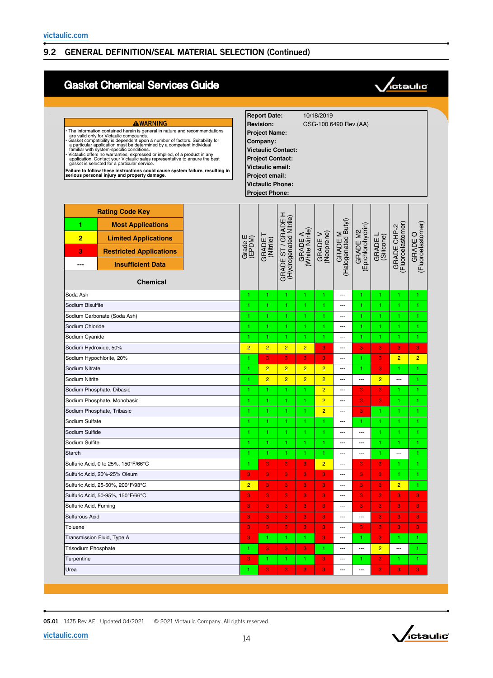# Gasket Chemical Services Guide



| AWARNING<br>The information contained herein is general in nature and recommendations<br>are valid only for Victaulic compounds.<br>Gasket compatibility is dependent upon a number of factors. Suitability for<br>a particular application must be determined by a competent individual<br>familiar with system-specific conditions.<br>Victaulic offers no warranties, expressed or implied, of a product in any application. Contact your Victaulic sales representative to ensure the best<br>gasket is selected for a particular service.<br>Failure to follow these instructions could cause system failure, resulting in<br>serious personal injury and property damage. |                     | <b>Report Date:</b><br><b>Revision:</b><br><b>Project Name:</b><br>Company:<br><b>Victaulic Contact:</b><br><b>Project Contact:</b><br>Victaulic email:<br>Project email:<br><b>Victaulic Phone:</b><br><b>Project Phone:</b> |                                                 |                            | 10/18/2019            | GSG-100 6490 Rev. (AA)         |                              |                       |                                  |                                 |
|---------------------------------------------------------------------------------------------------------------------------------------------------------------------------------------------------------------------------------------------------------------------------------------------------------------------------------------------------------------------------------------------------------------------------------------------------------------------------------------------------------------------------------------------------------------------------------------------------------------------------------------------------------------------------------|---------------------|-------------------------------------------------------------------------------------------------------------------------------------------------------------------------------------------------------------------------------|-------------------------------------------------|----------------------------|-----------------------|--------------------------------|------------------------------|-----------------------|----------------------------------|---------------------------------|
| <b>Rating Code Key</b><br>1<br><b>Most Applications</b><br>$\overline{2}$<br><b>Limited Applications</b><br>3<br><b>Restricted Applications</b><br><b>Insufficient Data</b><br>---<br><b>Chemical</b>                                                                                                                                                                                                                                                                                                                                                                                                                                                                           | Grade E<br>(EPDM)   | GRADE<br>(Nitrile)                                                                                                                                                                                                            | I<br>(Hydrogenated Nitrile)<br>GRADE ST / GRADE | GRADE A<br>(White Nitrile) | GRADE V<br>(Neoprene) | GRADE M<br>(Halogenated Butyl) | Epichlorohydrin)<br>GRADE M2 | GRADE L<br>(Silicone) | GRADE CHP-2<br>(Fluoroelastomer) | (Fluoroelastomer)<br>O<br>GRADE |
| Soda Ash                                                                                                                                                                                                                                                                                                                                                                                                                                                                                                                                                                                                                                                                        | 1                   | 1                                                                                                                                                                                                                             | 1                                               | 1                          | 1                     | ---                            | 1                            | 1                     | 1                                | 1                               |
| Sodium Bisulfite                                                                                                                                                                                                                                                                                                                                                                                                                                                                                                                                                                                                                                                                |                     | 1                                                                                                                                                                                                                             | 1                                               | 1                          | 1                     | ---                            | 1                            | 1                     | 1                                | 1                               |
| Sodium Carbonate (Soda Ash)                                                                                                                                                                                                                                                                                                                                                                                                                                                                                                                                                                                                                                                     | 1                   | 1                                                                                                                                                                                                                             | 1                                               | 1                          | 1                     | ---                            | 1                            | 1.                    | 1                                | 1                               |
| Sodium Chloride                                                                                                                                                                                                                                                                                                                                                                                                                                                                                                                                                                                                                                                                 | 1                   | 1                                                                                                                                                                                                                             | 1.                                              | 1.                         | 1                     | ---                            | 1                            | 1.                    | 1                                | 1                               |
| Sodium Cyanide                                                                                                                                                                                                                                                                                                                                                                                                                                                                                                                                                                                                                                                                  |                     | 1                                                                                                                                                                                                                             | 1.                                              | 1                          | 1                     | ---                            | 1                            | 1                     | 1                                | 1                               |
| Sodium Hydroxide, 50%                                                                                                                                                                                                                                                                                                                                                                                                                                                                                                                                                                                                                                                           | $\overline{2}$      | $\overline{2}$                                                                                                                                                                                                                | $\overline{2}$                                  | $\overline{2}$             | 3                     | ---                            | 3                            | 3                     | 3                                | 3                               |
| Sodium Hypochlorite, 20%                                                                                                                                                                                                                                                                                                                                                                                                                                                                                                                                                                                                                                                        | 1                   | 3                                                                                                                                                                                                                             | 3                                               | 3                          | 3                     | ---                            | 1                            | 3                     | $\overline{2}$                   | $\overline{2}$                  |
| Sodium Nitrate                                                                                                                                                                                                                                                                                                                                                                                                                                                                                                                                                                                                                                                                  | 1                   | $\overline{2}$                                                                                                                                                                                                                | $\overline{2}$                                  | $\overline{2}$             | $\overline{2}$        | ---                            | 1                            | 3                     | 1                                | 1                               |
| Sodium Nitrite                                                                                                                                                                                                                                                                                                                                                                                                                                                                                                                                                                                                                                                                  | 1                   | $\overline{2}$                                                                                                                                                                                                                | $\overline{2}$                                  | $\overline{2}$             | $\overline{2}$        | $\overline{a}$                 | ---                          | $\overline{2}$        | ---                              | 1                               |
| Sodium Phosphate, Dibasic                                                                                                                                                                                                                                                                                                                                                                                                                                                                                                                                                                                                                                                       | 1                   | 1                                                                                                                                                                                                                             | 1.                                              | 1.                         | $\overline{2}$        | ---                            | 3                            | 3                     | 1                                | 1                               |
| Sodium Phosphate, Monobasic                                                                                                                                                                                                                                                                                                                                                                                                                                                                                                                                                                                                                                                     | 1                   | 1                                                                                                                                                                                                                             | 1.                                              | 1                          | $\overline{2}$        | ---                            | 3                            | 3                     | 1.                               | 1                               |
| Sodium Phosphate, Tribasic                                                                                                                                                                                                                                                                                                                                                                                                                                                                                                                                                                                                                                                      | 1                   | 1                                                                                                                                                                                                                             | 1                                               | 1                          | $\overline{2}$        | ---                            | 3                            | 1.                    | 1                                | 1                               |
| Sodium Sulfate                                                                                                                                                                                                                                                                                                                                                                                                                                                                                                                                                                                                                                                                  | 1                   | 1.                                                                                                                                                                                                                            | 1.                                              | 1                          | 1                     | ---                            | 1.                           | 1.                    | 1                                | 1                               |
| Sodium Sulfide                                                                                                                                                                                                                                                                                                                                                                                                                                                                                                                                                                                                                                                                  | 1                   | 1                                                                                                                                                                                                                             | 1.                                              | 1                          | 1                     | ---                            | ---                          | 1                     | 1                                | 1                               |
| Sodium Sulfite                                                                                                                                                                                                                                                                                                                                                                                                                                                                                                                                                                                                                                                                  | 1.                  | 1                                                                                                                                                                                                                             | 1                                               | 1                          | 1                     | ---                            | ---                          | 1.                    | 1                                | 1                               |
| Starch                                                                                                                                                                                                                                                                                                                                                                                                                                                                                                                                                                                                                                                                          | 1.                  | 1                                                                                                                                                                                                                             | 1                                               | 1                          | 1                     | ---                            | ---                          | 1.                    | ---                              | 1                               |
| Sulfuric Acid, 0 to 25%, 150°F/66°C                                                                                                                                                                                                                                                                                                                                                                                                                                                                                                                                                                                                                                             | 1                   | 3                                                                                                                                                                                                                             | 3                                               | 3                          | $\overline{2}$        | ---                            | 3                            | 3                     | 1                                | 1                               |
| Sulfuric Acid, 20%-25% Oleum                                                                                                                                                                                                                                                                                                                                                                                                                                                                                                                                                                                                                                                    | 3                   | 3                                                                                                                                                                                                                             | 3                                               | 3                          | 3                     | $\overline{\phantom{a}}$       | 3                            | 3                     |                                  |                                 |
| Sulfuric Acid, 25-50%, 200°F/93°C                                                                                                                                                                                                                                                                                                                                                                                                                                                                                                                                                                                                                                               | $\overline{2}$<br>3 | 3                                                                                                                                                                                                                             | 3                                               | 3                          | 3                     | ---                            | 3                            | 3                     | $\overline{2}$                   | 1.                              |
| Sulfuric Acid, 50-95%, 150°F/66°C                                                                                                                                                                                                                                                                                                                                                                                                                                                                                                                                                                                                                                               |                     | 3                                                                                                                                                                                                                             | 3                                               | 3                          | 3                     | ---                            | 3                            | 3                     | 3                                | 3                               |
| Sulfuric Acid, Fuming                                                                                                                                                                                                                                                                                                                                                                                                                                                                                                                                                                                                                                                           | 3                   | 3                                                                                                                                                                                                                             | 3                                               | 3                          | 3                     | ---                            | 3                            | 3                     | 3                                | 3                               |
| Sulfurous Acid                                                                                                                                                                                                                                                                                                                                                                                                                                                                                                                                                                                                                                                                  | 3                   | 3                                                                                                                                                                                                                             | 3                                               | 3                          | 3                     | ---                            | ---                          | 3                     | 3                                | 3                               |
| Toluene                                                                                                                                                                                                                                                                                                                                                                                                                                                                                                                                                                                                                                                                         | 3                   | 3                                                                                                                                                                                                                             | 3                                               | 3                          | 3                     | ---                            | 3                            | 3                     | $\mathbf{3}$                     | 3                               |
| Transmission Fluid, Type A                                                                                                                                                                                                                                                                                                                                                                                                                                                                                                                                                                                                                                                      | 3                   | 1.                                                                                                                                                                                                                            | 1.                                              | 1.                         | $\mathbf{3}$          | ---                            | 1.                           | 3                     | 1.                               | 1.                              |
| Trisodium Phosphate                                                                                                                                                                                                                                                                                                                                                                                                                                                                                                                                                                                                                                                             | 1                   | 3                                                                                                                                                                                                                             | 3                                               | 3                          | 1                     | ---                            | $\sim$                       | $\overline{2}$        | $\cdots$                         | 1.                              |
| Turpentine                                                                                                                                                                                                                                                                                                                                                                                                                                                                                                                                                                                                                                                                      | 3                   | 1.                                                                                                                                                                                                                            | 1.                                              | 1.                         | 3                     | ---                            | 1                            | 3                     | 1                                | 1.                              |
| Urea                                                                                                                                                                                                                                                                                                                                                                                                                                                                                                                                                                                                                                                                            | 1.                  | 3                                                                                                                                                                                                                             | 3                                               | $\mathbf{3}$               | 3                     | ---                            | ---                          | 3                     | 3                                | $\mathbf{3}$                    |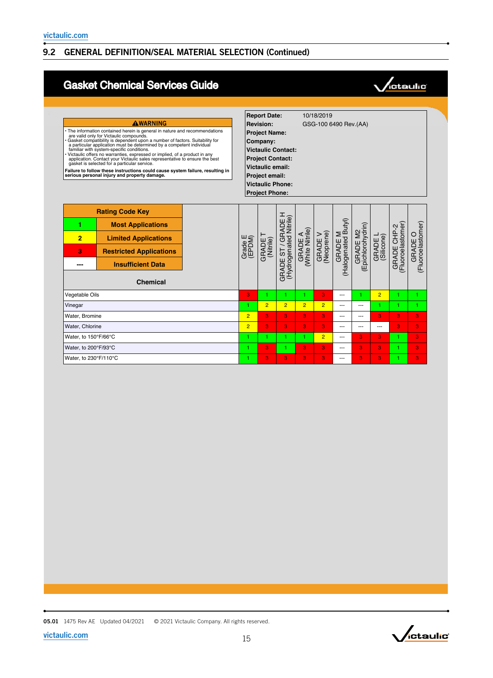# Gasket Chemical Services Guide



| AWARNING<br>• The information contained herein is general in nature and recommendations<br>are valid only for Victaulic compounds.<br>Gasket compatibility is dependent upon a number of factors. Suitability for a particular application must be determined by a competent individual<br>familiar with system-specific conditions.<br>Victaulic offers no warranties, expressed or implied, of a product in any<br>application. Contact your Victaulic sales representative to ensure the best<br>qasket is selected for a particular service.<br>Failure to follow these instructions could cause system failure, resulting in<br>serious personal injury and property damage. |                                                                                                                                                                    |                |                   | <b>Report Date:</b><br><b>Revision:</b><br><b>Project Name:</b><br>Company:<br><b>Victaulic Contact:</b><br><b>Project Contact:</b><br><b>Victaulic email:</b><br>Project email:<br><b>Victaulic Phone:</b><br><b>Project Phone:</b> |                                                              |                            | 10/18/2019<br>GSG-100 6490 Rev.(AA) |                                |                               |                       |                                 |                                 |
|-----------------------------------------------------------------------------------------------------------------------------------------------------------------------------------------------------------------------------------------------------------------------------------------------------------------------------------------------------------------------------------------------------------------------------------------------------------------------------------------------------------------------------------------------------------------------------------------------------------------------------------------------------------------------------------|--------------------------------------------------------------------------------------------------------------------------------------------------------------------|----------------|-------------------|--------------------------------------------------------------------------------------------------------------------------------------------------------------------------------------------------------------------------------------|--------------------------------------------------------------|----------------------------|-------------------------------------|--------------------------------|-------------------------------|-----------------------|---------------------------------|---------------------------------|
| 1<br>$\overline{2}$<br>3                                                                                                                                                                                                                                                                                                                                                                                                                                                                                                                                                                                                                                                          | <b>Rating Code Key</b><br><b>Most Applications</b><br><b>Limited Applications</b><br><b>Restricted Applications</b><br><b>Insufficient Data</b><br><b>Chemical</b> |                | Grade E<br>(EPDM) | GRADE<br>(Nitrile)                                                                                                                                                                                                                   | <b>GRADE ST / GRADE H</b><br>(Hydrogenated Nitrile)<br>GRADE | GRADE A<br>(White Nitrile) | GRADE V<br>(Neoprene)               | GRADE M<br>(Halogenated Butyl) | GRADE M2<br>(Epichlorohydrin) | GRADE L<br>(Silicone) | GRADE CHP-2<br>Fluoroelastomer) | (Fluoroelastomer)<br>O<br>GRADE |
| <b>Vegetable Oils</b>                                                                                                                                                                                                                                                                                                                                                                                                                                                                                                                                                                                                                                                             |                                                                                                                                                                    |                | 3                 | 1                                                                                                                                                                                                                                    |                                                              | 1                          | 3                                   | $\overline{a}$                 | 1                             | $\overline{2}$        |                                 | 4                               |
| Vinegar                                                                                                                                                                                                                                                                                                                                                                                                                                                                                                                                                                                                                                                                           |                                                                                                                                                                    |                | 1.                | $\overline{2}$                                                                                                                                                                                                                       | $\overline{2}$                                               | $\overline{2}$             | $\overline{2}$                      | $\overline{a}$                 | $-$                           | 1.                    |                                 | 1.                              |
| Water, Bromine                                                                                                                                                                                                                                                                                                                                                                                                                                                                                                                                                                                                                                                                    |                                                                                                                                                                    | $\overline{2}$ | 3                 | 3.                                                                                                                                                                                                                                   | 3                                                            | 3                          | $\overline{a}$                      | $\overline{a}$                 | 3                             | 3                     | 3                               |                                 |
| Water, Chlorine                                                                                                                                                                                                                                                                                                                                                                                                                                                                                                                                                                                                                                                                   |                                                                                                                                                                    | $\overline{2}$ | 3                 | 3                                                                                                                                                                                                                                    | 3                                                            | 3                          | ---                                 | ---                            | ---                           | 3                     | 3                               |                                 |
| Water, to 150°F/66°C                                                                                                                                                                                                                                                                                                                                                                                                                                                                                                                                                                                                                                                              |                                                                                                                                                                    | 1.             | 1.                | 1.                                                                                                                                                                                                                                   | 1.                                                           | $\overline{2}$             | ---                                 | 3                              | 3                             | 1.                    | 3                               |                                 |
| Water, to 200°F/93°C                                                                                                                                                                                                                                                                                                                                                                                                                                                                                                                                                                                                                                                              |                                                                                                                                                                    | 1              | 3                 | 1.                                                                                                                                                                                                                                   | 3                                                            | 3                          | ---                                 | 3                              | 3                             |                       | 3                               |                                 |
| Water, to 230°F/110°C                                                                                                                                                                                                                                                                                                                                                                                                                                                                                                                                                                                                                                                             |                                                                                                                                                                    |                | 1                 | 3                                                                                                                                                                                                                                    | 3                                                            | 3                          | 3                                   | ---                            | 3                             | 3                     |                                 | 3                               |